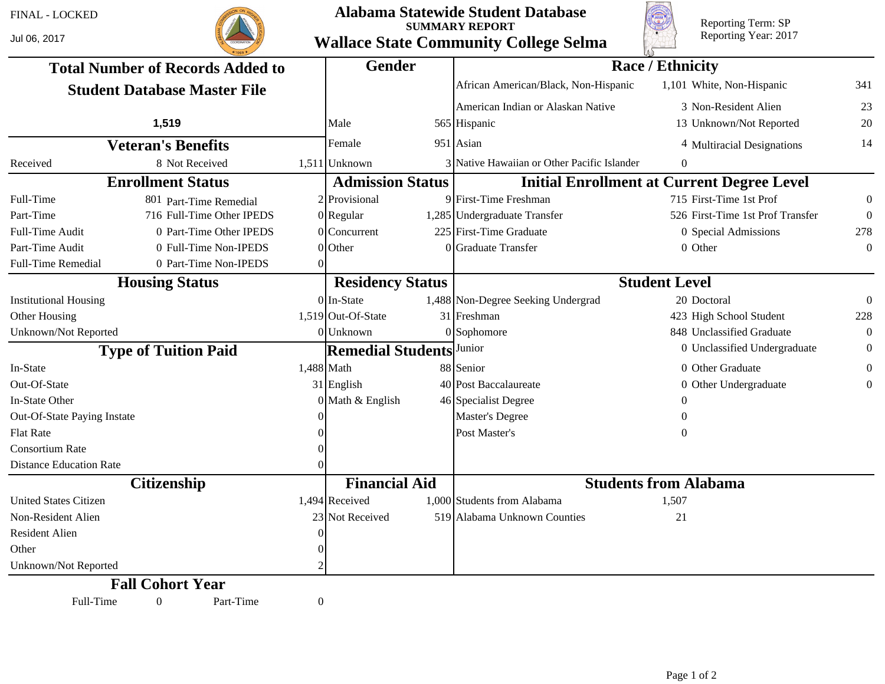## FINAL - LOCKED

Jul 06, 2017



## **Alabama Statewide Student Database SUMMARY REPORT Wallace State Community College Selma**



Reporting Term: SP Reporting Year: 2017

|                                         |                           |          | <b>Gender</b>            |  | <b>Race / Ethnicity</b>                     |                                                   |                  |  |  |
|-----------------------------------------|---------------------------|----------|--------------------------|--|---------------------------------------------|---------------------------------------------------|------------------|--|--|
| <b>Total Number of Records Added to</b> |                           |          |                          |  |                                             |                                                   |                  |  |  |
| <b>Student Database Master File</b>     |                           |          |                          |  | African American/Black, Non-Hispanic        | 1,101 White, Non-Hispanic                         | 341              |  |  |
|                                         |                           |          |                          |  | American Indian or Alaskan Native           | 3 Non-Resident Alien                              | 23               |  |  |
|                                         | 1,519                     |          | Male                     |  | 565 Hispanic                                | 13 Unknown/Not Reported                           | 20               |  |  |
| <b>Veteran's Benefits</b>               |                           |          | Female                   |  | $951$ Asian                                 | 4 Multiracial Designations                        | 14               |  |  |
| Received                                | 8 Not Received            |          | $1,511$ Unknown          |  | 3 Native Hawaiian or Other Pacific Islander | $\theta$                                          |                  |  |  |
|                                         | <b>Enrollment Status</b>  |          | <b>Admission Status</b>  |  |                                             | <b>Initial Enrollment at Current Degree Level</b> |                  |  |  |
| Full-Time                               | 801 Part-Time Remedial    |          | 2 Provisional            |  | 9 First-Time Freshman                       | 715 First-Time 1st Prof                           | $\boldsymbol{0}$ |  |  |
| Part-Time                               | 716 Full-Time Other IPEDS |          | $0$  Regular             |  | 1,285 Undergraduate Transfer                | 526 First-Time 1st Prof Transfer                  | $\Omega$         |  |  |
| Full-Time Audit                         | 0 Part-Time Other IPEDS   |          | $0$ Concurrent           |  | 225 First-Time Graduate                     | 0 Special Admissions                              | 278              |  |  |
| Part-Time Audit                         | 0 Full-Time Non-IPEDS     |          | $0$ Other                |  | 0 Graduate Transfer                         | 0 Other                                           | $\Omega$         |  |  |
| Full-Time Remedial                      | 0 Part-Time Non-IPEDS     | $\Omega$ |                          |  |                                             |                                                   |                  |  |  |
| <b>Housing Status</b>                   |                           |          | <b>Residency Status</b>  |  | <b>Student Level</b>                        |                                                   |                  |  |  |
| <b>Institutional Housing</b>            |                           |          | $0$ In-State             |  | 1,488 Non-Degree Seeking Undergrad          | 20 Doctoral                                       | $\theta$         |  |  |
| Other Housing                           |                           |          | $1,519$ Out-Of-State     |  | 31 Freshman                                 | 423 High School Student                           | 228              |  |  |
| Unknown/Not Reported                    |                           |          | $0$ Unknown              |  | $0$ Sophomore                               | 848 Unclassified Graduate                         | $\theta$         |  |  |
| <b>Type of Tuition Paid</b>             |                           |          | <b>Remedial Students</b> |  | Junior                                      | 0 Unclassified Undergraduate                      | $\theta$         |  |  |
| In-State                                |                           |          | $1,488$ Math             |  | 88 Senior                                   | 0 Other Graduate                                  | $\theta$         |  |  |
| Out-Of-State                            |                           |          | $31$ English             |  | 40 Post Baccalaureate                       | 0 Other Undergraduate                             | $\Omega$         |  |  |
| In-State Other                          |                           |          | $0$ Math & English       |  | 46 Specialist Degree                        | 0                                                 |                  |  |  |
| Out-Of-State Paying Instate             |                           |          |                          |  | <b>Master's Degree</b>                      | 0                                                 |                  |  |  |
| <b>Flat Rate</b>                        |                           |          |                          |  | Post Master's                               | 0                                                 |                  |  |  |
| <b>Consortium Rate</b>                  |                           |          |                          |  |                                             |                                                   |                  |  |  |
| <b>Distance Education Rate</b>          |                           |          |                          |  |                                             |                                                   |                  |  |  |
| <b>Citizenship</b>                      |                           |          | <b>Financial Aid</b>     |  | <b>Students from Alabama</b>                |                                                   |                  |  |  |
| <b>United States Citizen</b>            |                           |          | $1,494$ Received         |  | 1,000 Students from Alabama                 | 1,507                                             |                  |  |  |
| Non-Resident Alien                      |                           |          | 23 Not Received          |  | 519 Alabama Unknown Counties                | 21                                                |                  |  |  |
| Resident Alien                          |                           |          |                          |  |                                             |                                                   |                  |  |  |
| Other                                   |                           |          |                          |  |                                             |                                                   |                  |  |  |
| Unknown/Not Reported                    |                           |          |                          |  |                                             |                                                   |                  |  |  |
|                                         | <b>Fall Cohort Year</b>   |          |                          |  |                                             |                                                   |                  |  |  |
| Full-Time                               | Part-Time<br>$\mathbf{0}$ | $\theta$ |                          |  |                                             |                                                   |                  |  |  |